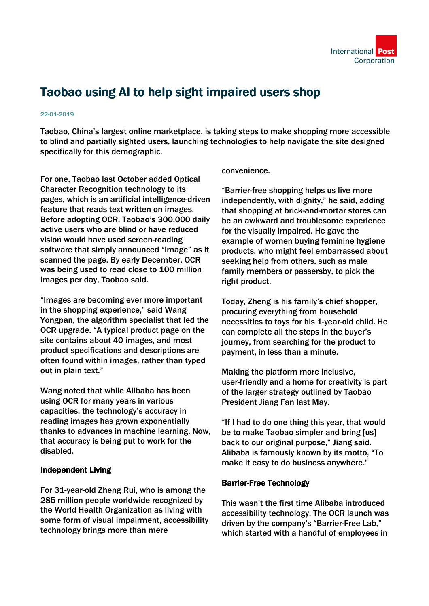

## Taobao using AI to help sight impaired users shop

## 22-01-2019

Taobao, China's largest online marketplace, is taking steps to make shopping more accessible to blind and partially sighted users, launching technologies to help navigate the site designed specifically for this demographic.

For one, Taobao last October added Optical Character Recognition technology to its pages, which is an artificial intelligence-driven feature that reads text written on images. Before adopting OCR, Taobao's 300,000 daily active users who are blind or have reduced vision would have used screen-reading software that simply announced "image" as it scanned the page. By early December, OCR was being used to read close to 100 million images per day, Taobao said.

"Images are becoming ever more important in the shopping experience," said Wang Yongpan, the algorithm specialist that led the OCR upgrade. "A typical product page on the site contains about 40 images, and most product specifications and descriptions are often found within images, rather than typed out in plain text."

Wang noted that while Alibaba has been using OCR for many years in various capacities, the technology's accuracy in reading images has grown exponentially thanks to advances in machine learning. Now, that accuracy is being put to work for the disabled.

## Independent Living

For 31-year-old Zheng Rui, who is among the 285 million people worldwide recognized by the World Health Organization as living with some form of visual impairment, accessibility technology brings more than mere

convenience.

"Barrier-free shopping helps us live more independently, with dignity," he said, adding that shopping at brick-and-mortar stores can be an awkward and troublesome experience for the visually impaired. He gave the example of women buying feminine hygiene products, who might feel embarrassed about seeking help from others, such as male family members or passersby, to pick the right product.

Today, Zheng is his family's chief shopper, procuring everything from household necessities to toys for his 1-year-old child. He can complete all the steps in the buyer's journey, from searching for the product to payment, in less than a minute.

Making the platform more inclusive, user-friendly and a home for creativity is part of the larger strategy outlined by Taobao President Jiang Fan last May.

"If I had to do one thing this year, that would be to make Taobao simpler and bring [us] back to our original purpose," Jiang said. Alibaba is famously known by its motto, "To make it easy to do business anywhere."

## Barrier-Free Technology

This wasn't the first time Alibaba introduced accessibility technology. The OCR launch was driven by the company's "Barrier-Free Lab," which started with a handful of employees in